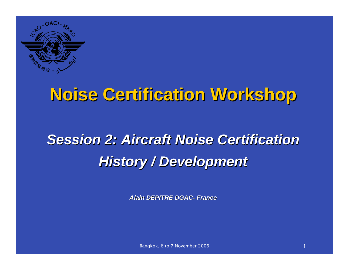

## **Noise Certification Workshop Noise Certification Workshop**

# *Session 2: Aircraft Noise Certification Session 2: Aircraft Noise CertificationHistory History / Development / Development*

*Alain DEPITRE DGAC- France*

Bangkok, 6 to 7 November 2006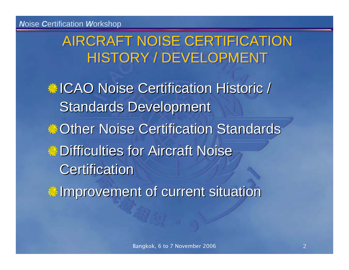#### AIRCRAFT NOISE CERTIFICATION HISTORY / DEVELOPMENT

**ICAO Noise Certification Historic / Standards Development Cother Noise Certification Standards Difficulties for Aircraft Noise Certification Improvement of current situation**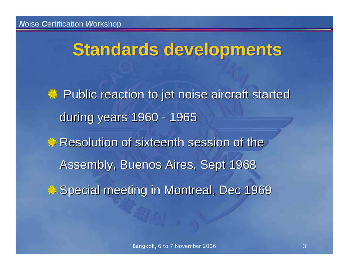## **Standards developments**

**Public reaction to jet noise aircraft started Public reaction to jet noise aircraft started** during years 1960 - 1965 Resolution of sixteenth session of the Assembly, Buenos Aires, Sept 1968 Special meeting in Montreal, Dec 1969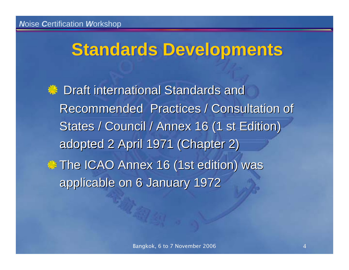## **Standards Developments Standards Developments**

**EXECUTE:** Draft international Standards and Recommended Practices / Consultation of Recommended Practices / Consultation of States / Council / Annex 16 (1 st Edition) adopted 2 April 1971 (Chapter 2) **The ICAO Annex 16 (1st edition) was** applicable on 6 January 1972 applicable on 6 January 1972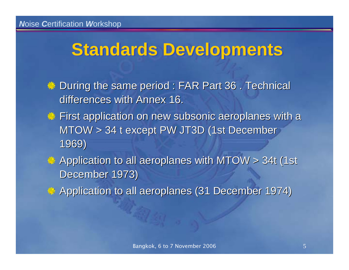## **Standards Developments Standards Developments**

- During the same period : FAR Part 36 . Technical differences with Annex 16.
- **First application on new subsonic aeroplanes with a** MTOW > 34 t except PW JT3D (1st December 1969)
- Application to all aeroplanes with MTOW > 34t (1st December 1973)
- Application to all aeroplanes (31 December 1974)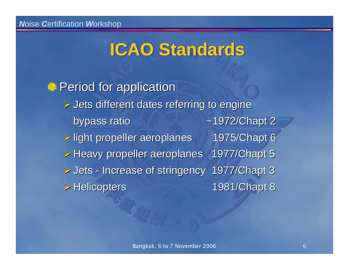## **ICAO Standards ICAO Standards**

**A** Period for application  $\triangleright$  Jets different dates referring to engine bypass ratio  $\sim$ 1972/Chapt 2 ¾light propeller aeroplanes 1975/Chapt 6 light propeller aeroplanes 1975/Chapt 6 ¾Heavy propeller aeroplanes 1977/Chapt 5 Heavy propeller aeroplanes 1977/Chapt 5 ¾Jets - Increase of stringency 1977/Chapt 3 Increase of stringency 1977/Chapt 3 ¾Helicopters Helicopters 1981/Chapt 8 1981/Chapt 8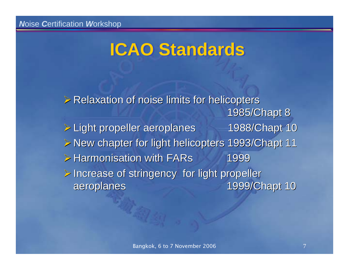## **ICAO Standards ICAO Standards**

 $\triangleright$  Relaxation of noise limits for helicopters 1985/Chapt 8 1985/Chapt 8 ¾Light propeller aeroplanes 1988/Chapt 10 Light propeller aeroplanes 1988/Chapt 10 ¾New chapter for light helicopters 1993/Chapt 11 New chapter for light helicopters 1993/Chapt 11  $\triangleright$  Harmonisation with FARs 1999  $\triangleright$  Increase of stringency for light propeller aeroplanes aeroplanes 1999/Chapt 10 1999/Chapt 10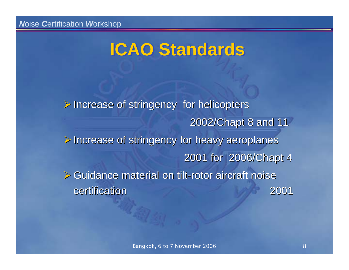## **ICAO Standards ICAO Standards**

 $\triangleright$  Increase of stringency for helicopters 2002/Chapt 8 and 11  $\triangleright$  Increase of stringency for heavy aeroplanes 2001 for 2006/Chapt 4  $\triangleright$  Guidance material on tilt-rotor aircraft noise certification certification 2001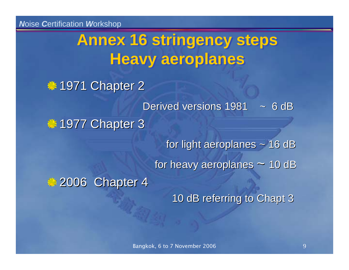## **Annex 16 stringency steps Annex 16 stringency steps Heavy aeroplanes Heavy aeroplanes**

#### **● 1971 Chapter 2**

Derived versions 1981  $\sim 6$  dB

#### **1977 Chapter 3**

for light aeroplanes  $\sim$  16 dB

for heavy aeroplanes  $\sim$  10 dB

2006 Chapter 4

10 dB referring to Chapt 3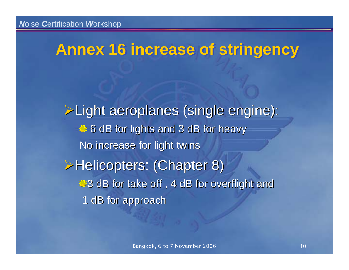### **Annex 16 increase of stringency Annex 16 increase of stringency**

¾Light aeroplanes (single engine): Light aeroplanes (single engine): 6 dB for lights and 3 dB for heavy No increase for light twins **EHelicopters: (Chapter 8)** 3 dB for take off, 4 dB for overflight and 1 dB for approach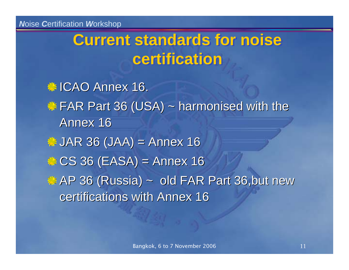## **Current standards for noise Current standards for noise certificationcertification**

● ICAO Annex 16. **EXAR Part 36 (USA) ~ harmonised with the** Annex 16  $\therefore$  JAR 36 (JAA) = Annex 16  $CS$  36 (EASA) = Annex 16 **AP 36 (Russia) ~ old FAR Part 36,but new** certifications with Annex 16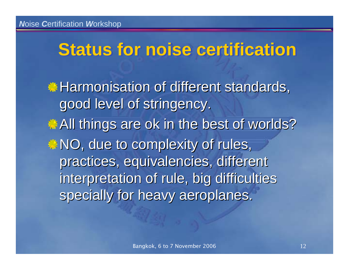## **Status for noise certification Status for noise certification**

**Harmonisation of different standards,** good level of stringency. All things are ok in the best of worlds?  $\bullet$  NO, due to complexity of rules, practices, equivalencies, different interpretation of rule, big difficulties specially for heavy aeroplanes.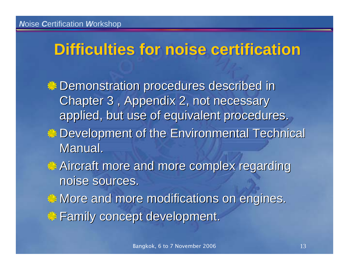### **Difficulties for noise certification Difficulties for noise certification**

- Demonstration procedures described in Demonstration procedures described in Chapter 3, Appendix 2, not necessary applied, but use of equivalent procedures.
- **Development of the Environmental Technical ®** Manual.
- Aircraft more and more complex regarding Aircraft more and more complex regarding noise sources.
- $\bullet$  More and more modifications on engines.
- Family concept development. Family concept development.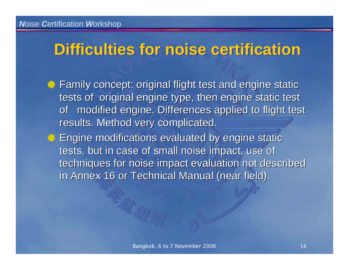### **Difficulties for noise certification Difficulties for noise certification**

- Family concept: original flight test and engine static tests of original engine type, then engine static test of modified engine. Differences applied to flight test results. Method very complicated.
- **Engine modifications evaluated by engine static** tests, but in case of small noise impact, use of techniques for noise impact evaluation not described in Annex 16 or Technical Manual (near field).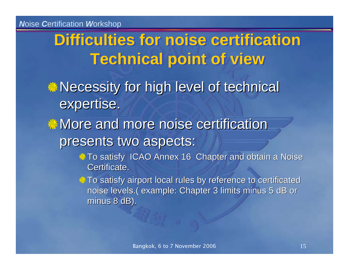## **Difficulties for noise certification Technical point of view Technical point of view**

 $\triangle$  Necessity for high level of technical expertise.

 $\ddot{\mathbb{R}}$  More and more noise certification presents two aspects:

> the To satisfy ICAO Annex 16 Chapter and obtain a Noise Certificate.

> To satisfy airport local rules by reference to certificated noise levels.( example: Chapter 3 limits minus 5 dB or minus 8 dB).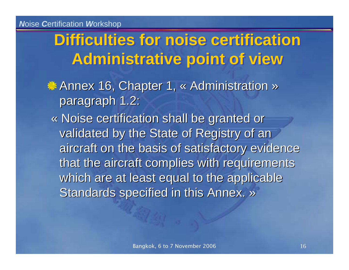## **Difficulties for noise certification Administrative point of view Administrative point of view**

- Annex 16, Chapter 1, « Administration » paragraph 1.2:
	- « Noise certification shall be granted or validated by the State of Registry of an aircraft on the basis of satisfactory evidence that the aircraft complies with requirements which are at least equal to the applicable Standards specified in this Annex. »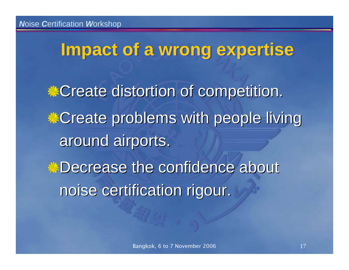# **Impact of a wrong expertise Impact of a wrong expertise**

**Create distortion of competition. Create problems with people living** around airports. **Decrease the confidence about** noise certification rigour.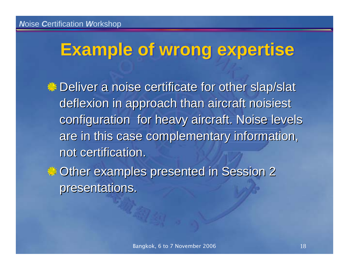## **Example of wrong expertise Example of wrong expertise**

**Deliver a noise certificate for other slap/slat** deflexion in approach than aircraft noisiest configuration for heavy aircraft. Noise levels are in this case complementary information, not certification.

© Other examples presented in Session 2 presentations.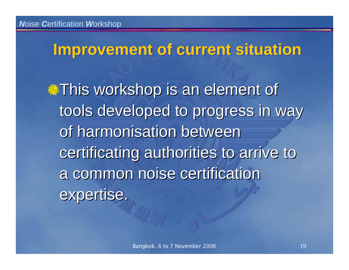#### **Improvement of current situation Improvement of current situation**

**This workshop is an element of** tools developed to progress in way of harmonisation between certificating authorities to arrive to a common noise certification expertise.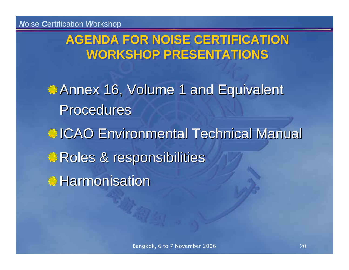#### **AGENDA FOR NOISE CERTIFICATION AGENDA FOR NOISE CERTIFICATION WORKSHOP PRESENTATIONSWORKSHOP PRESENTATIONS**

**Annex 16, Volume 1 and Equivalent** Procedures

**ICAO Environmental Technical Manual Roles & responsibilities** Harmonisation